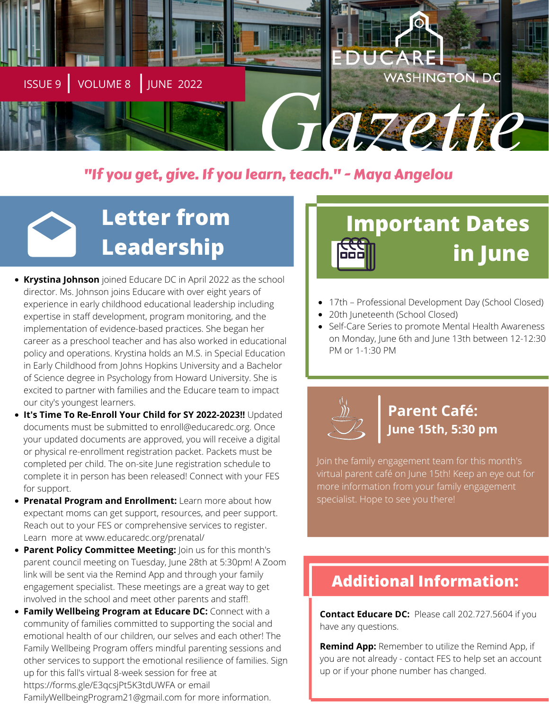

## "If you get, give. If you learn, teach." - Maya Angelou

# **Letter from Leadership**

- **Krystina Johnson** joined Educare DC in April 2022 as the school director. Ms. Johnson joins Educare with over eight years of experience in early childhood educational leadership including expertise in staff development, program monitoring, and the implementation of evidence-based practices. She began her career as a preschool teacher and has also worked in educational policy and operations. Krystina holds an M.S. in Special Education in Early Childhood from Johns Hopkins University and a Bachelor of Science degree in Psychology from Howard University. She is excited to partner with families and the Educare team to impact our city's youngest learners.
- **It's Time To Re-Enroll Your Child for SY 2022-2023!!** Updated documents must be submitted to [enroll@educaredc.org](mailto:enroll@educaredc.org). Once your updated documents are approved, you will receive a digital or physical re-enrollment registration packet. Packets must be completed per child. The on-site June registration schedule to complete it in person has been released! Connect with your FES for support.
- **Prenatal Program and Enrollment:** Learn more about how expectant moms can get support, resources, and peer support. Reach out to your FES or comprehensive services to register. Learn more at [www.educaredc.org/prenatal/](https://www.educaredc.org/prenatal/)
- **Parent Policy Committee Meeting:** Join us for this month's parent council meeting on Tuesday, June 28th at 5:30pm! A Zoom link will be sent via the Remind App and through your family engagement specialist. These meetings are a great way to get involved in the school and meet other parents and staff!.
- **Family Wellbeing Program at Educare DC:** Connect with a community of families committed to supporting the social and emotional health of our children, our selves and each other! The Family Wellbeing Program offers mindful parenting sessions and other services to support the emotional resilience of families. Sign up for this fall's virtual 8-week session for free at <https://forms.gle/E3qcsjPt5K3tdUWFA> or email FamilyWellbeingProgram21@gmail.com for more information.

# **Important Dates in June**

- 17th Professional Development Day (School Closed)
- $\bullet$ 20th Juneteenth (School Closed)
- Self-Care Series to promote Mental Health Awareness on Monday, June 6th and June 13th between 12-12:30 PM or 1-1:30 PM



# **Parent Café: June 15th, 5:30 pm**

Join the family engagement team for this month's virtual parent café on June 15th! Keep an eye out for more information from your family engagement specialist. Hope to see you there!

# **Additional Information:**

**Contact Educare DC:** Please call 202.727.5604 if you have any questions.

**Remind App:** Remember to utilize the Remind App, if you are not already - contact FES to help set an account up or if your phone number has changed.